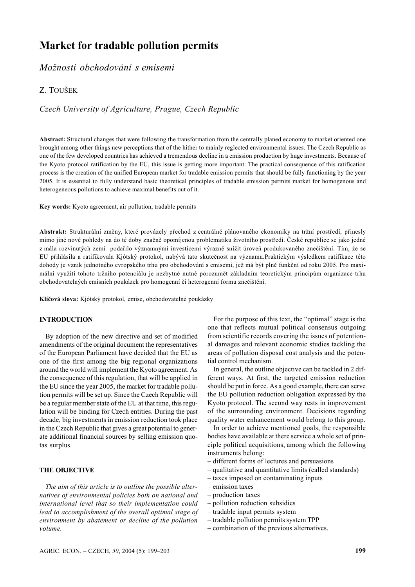# **Market for tradable pollution permits**

Možnosti obchodování s emisemi

# Z. TOUŠEK

Czech University of Agriculture, Prague, Czech Republic

Abstract: Structural changes that were following the transformation from the centrally planed economy to market oriented one brought among other things new perceptions that of the hither to mainly reglected environmental issues. The Czech Republic as one of the few developed countries has achieved a tremendous decline in a emission production by huge investments. Because of the Kyoto protocol ratification by the EU, this issue is getting more important. The practical consequence of this ratification process is the creation of the unified European market for tradable emission permits that should be fully functioning by the year 2005. It is essential to fully understand basic theoretical principles of tradable emission permits market for homogenous and heterogeneous pollutions to achieve maximal benefits out of it.

Key words: Kyoto agreement, air pollution, tradable permits

Abstrakt: Strukturální změny, které provázely přechod z centrálně plánovaného ekonomiky na tržní prostředí, přinesly mimo jiné nové pohledy na do té doby značně opomíjenou problematiku životního prostředí. České republice se jako jedné z mála rozvinutých zemí podařilo významnými investicemi výrazně snížit úroveň produkovaného znečištění. Tím, že se EU přihlásila a ratifikovala Kiótský protokol, nabývá tato skutečnost na významu. Praktickým výsledkem ratifikace této dohody je vznik jednotného evropského trhu pro obchodování s emisemi, jež má být plně funkční od roku 2005. Pro maximální využití tohoto tržního potenciálu je nezbytně nutné porozumět základním teoretickým principům organizace trhu obchodovatelných emisních poukázek pro homogenní či heterogenní formu znečištění.

Klíčová slova: Kjótský protokol, emise, obchodovatelné poukázky

### **INTRODUCTION**

By adoption of the new directive and set of modified amendments of the original document the representatives of the European Parliament have decided that the EU as one of the first among the big regional organizations around the world will implement the Kyoto agreement. As the consequence of this regulation, that will be applied in the EU since the year 2005, the market for tradable pollution permits will be set up. Since the Czech Republic will be a regular member state of the EU at that time, this regulation will be binding for Czech entities. During the past decade, big investments in emission reduction took place in the Czech Republic that gives a great potential to generate additional financial sources by selling emission quotas surplus.

## **THE OBJECTIVE**

The aim of this article is to outline the possible alternatives of environmental policies both on national and international level that so their implementation could lead to accomplishment of the overall optimal stage of environment by abatement or decline of the pollution volume.

For the purpose of this text, the "optimal" stage is the one that reflects mutual political consensus outgoing from scientific records covering the issues of potentional damages and relevant economic studies tackling the areas of pollution disposal cost analysis and the potential control mechanism.

In general, the outline objective can be tackled in 2 different ways. At first, the targeted emission reduction should be put in force. As a good example, there can serve the EU pollution reduction obligation expressed by the Kyoto protocol. The second way rests in improvement of the surrounding environment. Decisions regarding quality water enhancement would belong to this group.

In order to achieve mentioned goals, the responsible bodies have available at there service a whole set of principle political acquisitions, among which the following instruments belong:

- different forms of lectures and persuasions
- qualitative and quantitative limits (called standards)
- taxes imposed on contaminating inputs
- $-$  emission taxes
- production taxes
- pollution reduction subsidies
- tradable input permits system
- tradable pollution permits system TPP
- combination of the previous alternatives.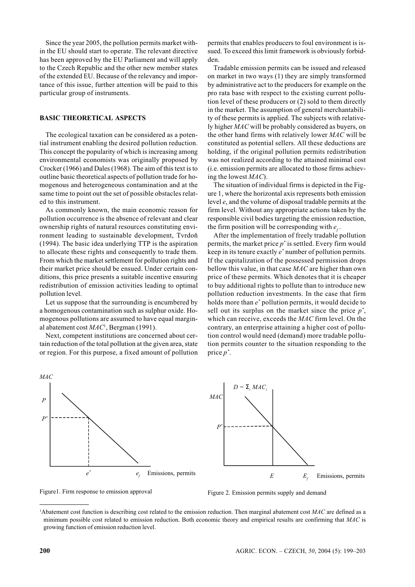Since the year 2005, the pollution permits market within the EU should start to operate. The relevant directive has been approved by the EU Parliament and will apply to the Czech Republic and the other new member states of the extended EU. Because of the relevancy and importance of this issue, further attention will be paid to this particular group of instruments.

# **BASIC THEORETICAL ASPECTS**

The ecological taxation can be considered as a potential instrument enabling the desired pollution reduction. This concept the popularity of which is increasing among environmental economists was originally proposed by Crocker (1966) and Dales (1968). The aim of this text is to outline basic theoretical aspects of pollution trade for homogenous and heterogeneous contamination and at the same time to point out the set of possible obstacles related to this instrument.

As commonly known, the main economic reason for pollution occurrence is the absence of relevant and clear ownership rights of natural resources constituting environment leading to sustainable development, Tvrdoň (1994). The basic idea underlying TTP is the aspiration to allocate these rights and consequently to trade them. From which the market settlement for pollution rights and their market price should be ensued. Under certain conditions, this price presents a suitable incentive ensuring redistribution of emission activities leading to optimal pollution level.

Let us suppose that the surrounding is encumbered by a homogenous contamination such as sulphur oxide. Homogenous pollutions are assumed to have equal marginal abatement cost MAC<sup>1</sup>, Bergman (1991).

Next, competent institutions are concerned about certain reduction of the total pollution at the given area, state or region. For this purpose, a fixed amount of pollution permits that enables producers to foul environment is issued. To exceed this limit framework is obviously forbidden.

Tradable emission permits can be issued and released on market in two ways (1) they are simply transformed by administrative act to the producers for example on the pro rata base with respect to the existing current pollution level of these producers or (2) sold to them directly in the market. The assumption of general merchantability of these permits is applied. The subjects with relatively higher MAC will be probably considered as buyers, on the other hand firms with relatively lower MAC will be constituted as potential sellers. All these deductions are holding, if the original pollution permits redistribution was not realized according to the attained minimal cost (*i.e.* emission permits are allocated to those firms achieving the lowest  $MAC$ ).

The situation of individual firms is depicted in the Figure 1, where the horizontal axis represents both emission level  $e$ , and the volume of disposal tradable permits at the firm level. Without any appropriate actions taken by the responsible civil bodies targeting the emission reduction, the firm position will be corresponding with  $e_c$ .

After the implementation of freely tradable pollution permits, the market price  $p^*$  is settled. Every firm would keep in its tenure exactly  $e^*$  number of pollution permits. If the capitalization of the possessed permission drops bellow this value, in that case MAC are higher than own price of these permits. Which denotes that it is cheaper to buy additional rights to pollute than to introduce new pollution reduction investments. In the case that firm holds more than  $e^*$  pollution permits, it would decide to sell out its surplus on the market since the price  $p^*$ , which can receive, exceeds the MAC firm level. On the contrary, an enterprise attaining a higher cost of pollution control would need (demand) more tradable pollution permits counter to the situation responding to the price  $p^*$ .



Figure1. Firm response to emission approval

Figure 2. Emission permits supply and demand

<sup>&</sup>lt;sup>1</sup>Abatement cost function is describing cost related to the emission reduction. Then marginal abatement cost MAC are defined as a minimum possible cost related to emission reduction. Both economic theory and empirical results are confirming that MAC is growing function of emission reduction level.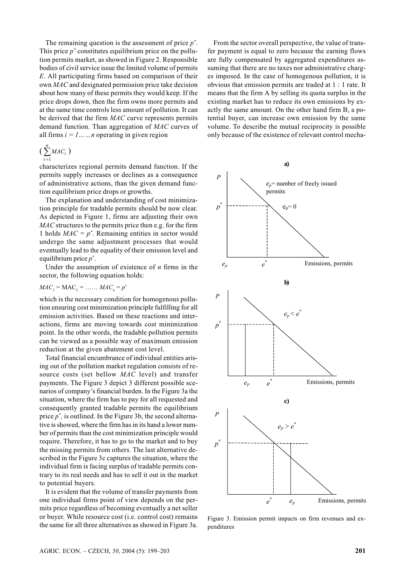The remaining question is the assessment of price  $p^*$ . This price  $p^*$  constitutes equilibrium price on the pollution permits market, as showed in Figure 2. Responsible bodies of civil service issue the limited volume of permits E. All participating firms based on comparison of their own MAC and designated permission price take decision about how many of these permits they would keep. If the price drops down, then the firm owns more permits and at the same time controls less amount of pollution. It can be derived that the firm MAC curve represents permits demand function. Than aggregation of MAC curves of all firms  $i = 1,...,n$  operating in given region

$$
\big(\sum_{i=1}^n \textit{MAC}_i\big)
$$

characterizes regional permits demand function. If the permits supply increases or declines as a consequence of administrative actions, than the given demand function equilibrium price drops or growths.

The explanation and understanding of cost minimization principle for tradable permits should be now clear. As depicted in Figure 1, firms are adjusting their own MAC structures to the permits price then e.g. for the firm 1 holds  $MAC = p^*$ . Remaining entities in sector would undergo the same adjustment processes that would eventually lead to the equality of their emission level and equilibrium price  $p^*$ .

Under the assumption of existence of  $n$  firms in the sector, the following equation holds:

$$
MAC_1 = MAC_2 = \dots \dots \quad MAC_n = p^*
$$

which is the necessary condition for homogenous pollution ensuring cost minimization principle fulfilling for all emission activities. Based on these reactions and interactions, firms are moving towards cost minimization point. In the other words, the tradable pollution permits can be viewed as a possible way of maximum emission reduction at the given abatement cost level.

Total financial encumbrance of individual entities arising out of the pollution market regulation consists of resource costs (set bellow MAC level) and transfer payments. The Figure 3 depict 3 different possible scenarios of company's financial burden. In the Figure 3a the situation, where the firm has to pay for all requested and consequently granted tradable permits the equilibrium price  $p^*$ , is outlined. In the Figure 3b, the second alternative is showed, where the firm has in its hand a lower number of permits than the cost minimization principle would require. Therefore, it has to go to the market and to buy the missing permits from others. The last alternative described in the Figure 3c captures the situation, where the individual firm is facing surplus of tradable permits contrary to its real needs and has to sell it out in the market to potential buyers.

It is evident that the volume of transfer payments from one individual firms point of view depends on the permits price regardless of becoming eventually a net seller or buyer. While resource cost (*i.e.* control cost) remains the same for all three alternatives as showed in Figure 3a.

From the sector overall perspective, the value of transfer payment is equal to zero because the earning flows are fully compensated by aggregated expenditures assuming that there are no taxes nor administrative charges imposed. In the case of homogenous pollution, it is obvious that emission permits are traded at 1 : 1 rate. It means that the firm A by selling its quota surplus in the existing market has to reduce its own emissions by exactly the same amount. On the other hand firm B, a potential buyer, can increase own emission by the same volume. To describe the mutual reciprocity is possible only because of the existence of relevant control mecha-



Figure 3. Emission permit impacts on firm revenues and expenditures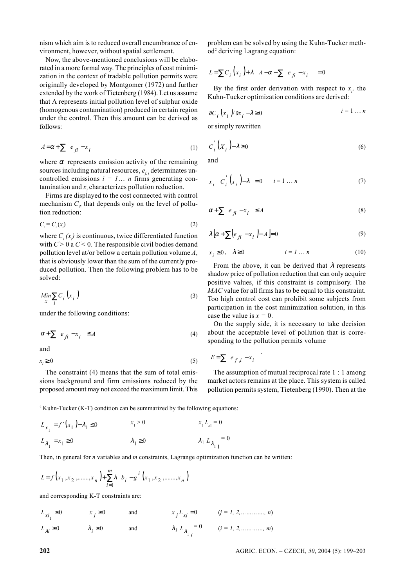nism which aim is to reduced overall encumbrance of environment, however, without spatial settlement.

Now, the above-mentioned conclusions will be elaborated in a more formal way. The principles of cost minimization in the context of tradable pollution permits were originally developed by Montgomer (1972) and further extended by the work of Tietenberg (1984). Let us assume that A represents initial pollution level of sulphur oxide (homogenous contamination) produced in certain region under the control. Then this amount can be derived as follows:

$$
A = \alpha + \sum \left( e_{fi} - x_i \right) \tag{1}
$$

where  $\alpha$  represents emission activity of the remaining sources including natural resources,  $e_{\epsilon}$ , determinates uncontrolled emissions  $i = 1... n$  firms generating contamination and  $x_i$ , characterizes pollution reduction.

Firms are displayed to the cost connected with control mechanism  $C_i$ , that depends only on the level of pollution reduction:

$$
C_i = C_i(x_i) \tag{2}
$$

where  $C_i(x)$  is continuous, twice differentiated function with  $C > 0$  a  $C < 0$ . The responsible civil bodies demand pollution level at/or bellow a certain pollution volume  $A$ , that is obviously lower than the sum of the currently produced pollution. Then the following problem has to be solved:

$$
\underset{x}{\text{Min}} \sum_{i} C_{i} \left( x_{i} \right) \tag{3}
$$

under the following conditions:

$$
\alpha + \sum \left( e_{fi} - x_i \right) \le A \tag{4}
$$

and

$$
x_i \ge 0 \tag{5}
$$

The constraint (4) means that the sum of total emissions background and firm emissions reduced by the proposed amount may not exceed the maximum limit. This problem can be solved by using the Kuhn-Tucker method<sup>2</sup> deriving Lagrang equation:

$$
L = \sum C_i \left( x_i \right) + \lambda \left( A - \alpha - \sum \left( e_{\hat{f}} - x_i \right) \right) = 0
$$

By the first order derivation with respect to  $x<sub>n</sub>$ , the Kuhn-Tucker optimization conditions are derived:

$$
\partial C_i \left( x_i \right) / \partial x_i - \lambda \ge 0
$$
  $i = 1 ... n$ 

or simply rewritten

$$
C_i(x_i) - \lambda \ge 0 \tag{6}
$$

and

$$
x_i \left[ C_i \left( x_i \right) - \lambda \right] = 0 \qquad i = 1 \dots n \tag{7}
$$

$$
\alpha + \sum \left( e_{fi} - x_i \right) \le A \tag{8}
$$

$$
\lambda \left[ \alpha + \sum \left( e_{fi} - x_{i} \right) - A \right] = 0 \tag{9}
$$

$$
x_i \ge 0, \quad \lambda \ge 0 \qquad \qquad i = 1 \dots n \tag{10}
$$

From the above, it can be derived that  $\lambda$  represents shadow price of pollution reduction that can only acquire positive values, if this constraint is compulsory. The MAC value for all firms has to be equal to this constraint. Too high control cost can prohibit some subjects from participation in the cost minimization solution, in this case the value is  $x = 0$ .

On the supply side, it is necessary to take decision about the acceptable level of pollution that is corresponding to the pollution permits volume

$$
E = \sum \left( e_{f,i} - x_i \right)^2
$$

The assumption of mutual reciprocal rate  $1:1$  among market actors remains at the place. This system is called pollution permits system, Tietenberg (1990). Then at the

 $2$  Kuhn-Tucker (K-T) condition can be summarized by the following equations:

$$
L_{x_1} = f'(x_1) - \lambda_1 \le 0
$$
  
\n
$$
L_{\lambda_1} = x_1 \ge 0
$$
  
\n
$$
x_1 > 0
$$
  
\n
$$
\lambda_1 \ge 0
$$
  
\n
$$
\lambda_1 L_{\lambda_1} = 0
$$
  
\n
$$
\lambda_1 L_{\lambda_1} = 0
$$

Then, in general for  $n$  variables and  $m$  constraints, Lagrange optimization function can be written:

$$
L = f(x_1, x_2, \dots, x_n) + \sum_{i=1}^{m} \lambda \left[ b_i - g^{i} (x_1, x_2, \dots, x_n) \right]
$$

and corresponding K-T constraints are:

 $x_i L_{xi} = 0$   $(j = 1, 2, ..., ..., n)$  $L_{xi} \le 0$   $x_j \ge 0$ and  $\lambda_i L_{\lambda_i} = 0$   $(i = 1, 2, \dots, m)$  $L_{\lambda i} \ge 0$   $\lambda_i \ge 0$ and